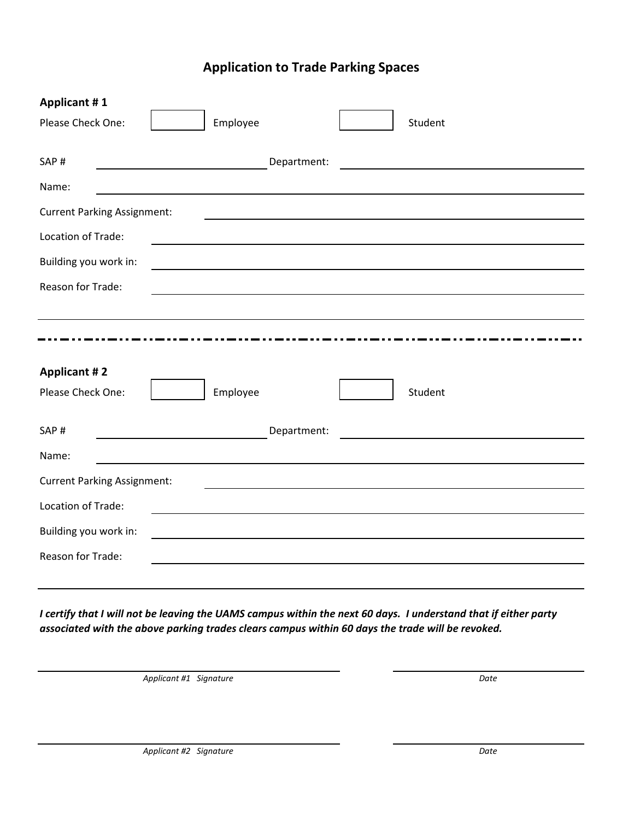## **Application to Trade Parking Spaces**

| <b>Applicant #1</b>                |                                                            |             |                                                           |
|------------------------------------|------------------------------------------------------------|-------------|-----------------------------------------------------------|
| Please Check One:                  | Employee                                                   |             | Student                                                   |
|                                    |                                                            |             |                                                           |
| SAP#                               | <u> 1989 - Johann Barn, fransk politik (</u>               | Department: |                                                           |
| Name:                              |                                                            |             |                                                           |
| <b>Current Parking Assignment:</b> |                                                            |             |                                                           |
| Location of Trade:                 |                                                            |             |                                                           |
| Building you work in:              |                                                            |             |                                                           |
| Reason for Trade:                  | <u> 1989 - Johann Barn, amerikansk politiker (d. 1989)</u> |             |                                                           |
|                                    |                                                            |             |                                                           |
|                                    |                                                            |             |                                                           |
|                                    |                                                            |             |                                                           |
|                                    |                                                            |             |                                                           |
| <b>Applicant #2</b>                |                                                            |             |                                                           |
| Please Check One:                  | Employee                                                   |             | Student                                                   |
|                                    |                                                            |             |                                                           |
| SAP#                               |                                                            | Department: | <u> 1989 - Johann John Stein, markin sanadi bashkar (</u> |
| Name:                              |                                                            |             |                                                           |
| <b>Current Parking Assignment:</b> |                                                            |             |                                                           |
| Location of Trade:                 |                                                            |             |                                                           |
| Building you work in:              |                                                            |             |                                                           |
| Reason for Trade:                  |                                                            |             |                                                           |

*I certify that I will not be leaving the UAMS campus within the next 60 days. I understand that if either party associated with the above parking trades clears campus within 60 days the trade will be revoked.*

*Applicant #1 Signature Date*